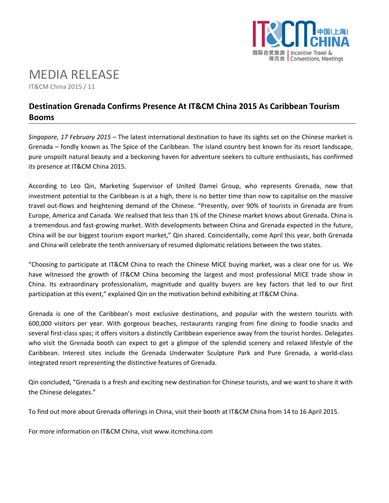

# MEDIA RELEASE

IT&CM China 2015 / 11

# **Destination Grenada Confirms Presence At IT&CM China 2015 As Caribbean Tourism Booms**

*Singapore, 17 February 2015* – The latest international destination to have its sights set on the Chinese market is Grenada – fondly known as The Spice of the Caribbean. The island country best known for its resort landscape, pure unspoilt natural beauty and a beckoning haven for adventure seekers to culture enthusiasts, has confirmed its presence at IT&CM China 2015.

According to Leo Qin, Marketing Supervisor of United Damei Group, who represents Grenada, now that investment potential to the Caribbean is at a high, there is no better time than now to capitalise on the massive travel out-flows and heightening demand of the Chinese. "Presently, over 90% of tourists in Grenada are from Europe, America and Canada. We realised that less than 1% of the Chinese market knows about Grenada. China is a tremendous and fast-growing market. With developments between China and Grenada expected in the future, China will be our biggest tourism export market," Qin shared. Coincidentally, come April this year, both Grenada and China will celebrate the tenth anniversary of resumed diplomatic relations between the two states.

"Choosing to participate at IT&CM China to reach the Chinese MICE buying market, was a clear one for us. We have witnessed the growth of IT&CM China becoming the largest and most professional MICE trade show in China. Its extraordinary professionalism, magnitude and quality buyers are key factors that led to our first participation at this event," explained Qin on the motivation behind exhibiting at IT&CM China.

Grenada is one of the Caribbean's most exclusive destinations, and popular with the western tourists with 600,000 visitors per year. With gorgeous beaches, restaurants ranging from fine dining to foodie snacks and several first-class spas; it offers visitors a distinctly Caribbean experience away from the tourist hordes. Delegates who visit the Grenada booth can expect to get a glimpse of the splendid scenery and relaxed lifestyle of the Caribbean. Interest sites include the Grenada Underwater Sculpture Park and Pure Grenada, a world-class integrated resort representing the distinctive features of Grenada.

Qin concluded, "Grenada is a fresh and exciting new destination for Chinese tourists, and we want to share it with the Chinese delegates."

To find out more about Grenada offerings in China, visit their booth at IT&CM China from 14 to 16 April 2015.

For more information on IT&CM China, visit [www.itcmchina.com](http://www.itcmchina.com/)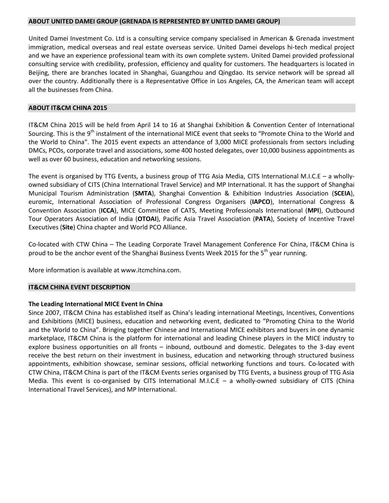#### **ABOUT UNITED DAMEI GROUP (GRENADA IS REPRESENTED BY UNITED DAMEI GROUP)**

United Damei Investment Co. Ltd is a consulting service company specialised in American & Grenada investment immigration, medical overseas and real estate overseas service. United Damei develops hi-tech medical project and we have an experience professional team with its own complete system. United Damei provided professional consulting service with credibility, profession, efficiency and quality for customers. The headquarters is located in Beijing, there are branches located in Shanghai, Guangzhou and Qingdao. Its service network will be spread all over the country. Additionally there is a Representative Office in Los Angeles, CA, the American team will accept all the businesses from China.

#### **ABOUT IT&CM CHINA 2015**

IT&CM China 2015 will be held from April 14 to 16 at Shanghai Exhibition & Convention Center of International Sourcing. This is the 9<sup>th</sup> instalment of the international MICE event that seeks to "Promote China to the World and the World to China". The 2015 event expects an attendance of 3,000 MICE professionals from sectors including DMCs, PCOs, corporate travel and associations, some 400 hosted delegates, over 10,000 business appointments as well as over 60 business, education and networking sessions.

The event is organised by TTG Events, a business group of TTG Asia Media, CITS International M.I.C.E – a whollyowned subsidiary of CITS (China International Travel Service) and MP International. It has the support of Shanghai Municipal Tourism Administration (**SMTA**), Shanghai Convention & Exhibition Industries Association (**SCEIA**), euromic, International Association of Professional Congress Organisers (**IAPCO**), International Congress & Convention Association (**ICCA**), MICE Committee of CATS, Meeting Professionals International (**MPI**), Outbound Tour Operators Association of India (**OTOAI**), Pacific Asia Travel Association (**PATA**), Society of Incentive Travel Executives (**Site**) China chapter and World PCO Alliance.

Co-located with CTW China – The Leading Corporate Travel Management Conference For China, IT&CM China is proud to be the anchor event of the Shanghai Business Events Week 2015 for the 5<sup>th</sup> year running.

More information is available at www.itcmchina.com.

#### **IT&CM CHINA EVENT DESCRIPTION**

### **The Leading International MICE Event In China**

Since 2007, IT&CM China has established itself as China's leading international Meetings, Incentives, Conventions and Exhibitions (MICE) business, education and networking event, dedicated to "Promoting China to the World and the World to China". Bringing together Chinese and International MICE exhibitors and buyers in one dynamic marketplace, IT&CM China is the platform for international and leading Chinese players in the MICE industry to explore business opportunities on all fronts – inbound, outbound and domestic. Delegates to the 3-day event receive the best return on their investment in business, education and networking through structured business appointments, exhibition showcase, seminar sessions, official networking functions and tours. Co-located with CTW China, IT&CM China is part of the IT&CM Events series organised by TTG Events, a business group of TTG Asia Media. This event is co-organised by CITS International M.I.C.E  $-$  a wholly-owned subsidiary of CITS (China International Travel Services), and MP International.